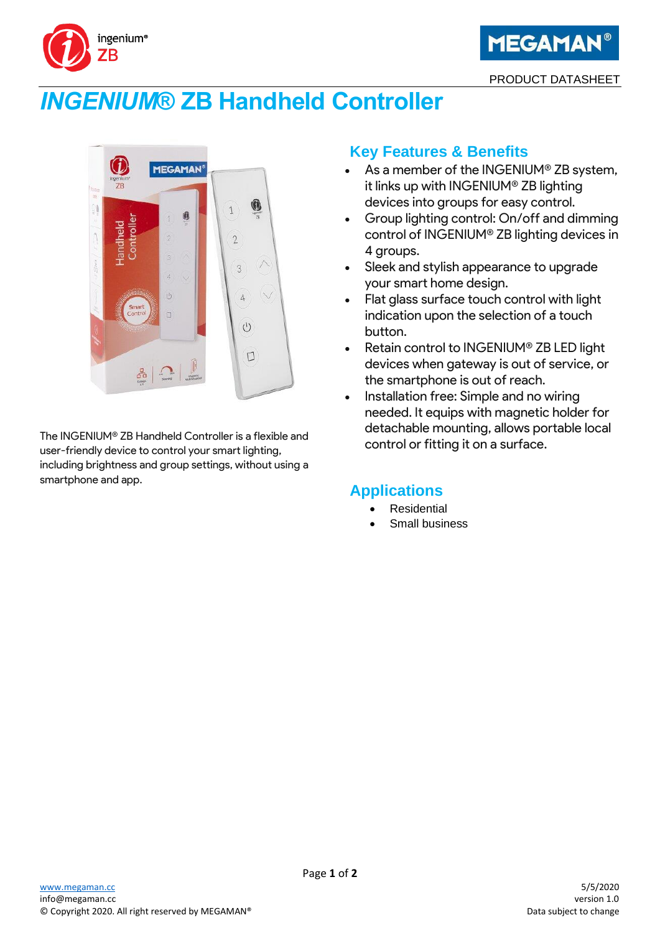



PRODUCT DATASHEET

# *INGENIUM***® ZB Handheld Controller**



The INGENIUM® ZB Handheld Controller is a flexible and user-friendly device to control your smart lighting, including brightness and group settings, without using a smartphone and app.

### **Key Features & Benefits**

- As a member of the INGENIUM® ZB system, it links up with INGENIUM® ZB lighting devices into groups for easy control.
- Group lighting control: On/off and dimming control of INGENIUM® ZB lighting devices in 4 groups.
- Sleek and stylish appearance to upgrade your smart home design.
- Flat glass surface touch control with light indication upon the selection of a touch button.
- Retain control to INGENIUM® ZB LED light devices when gateway is out of service, or the smartphone is out of reach.
- Installation free: Simple and no wiring needed. It equips with magnetic holder for detachable mounting, allows portable local control or fitting it on a surface.

## **Applications**

- **Residential**
- Small business